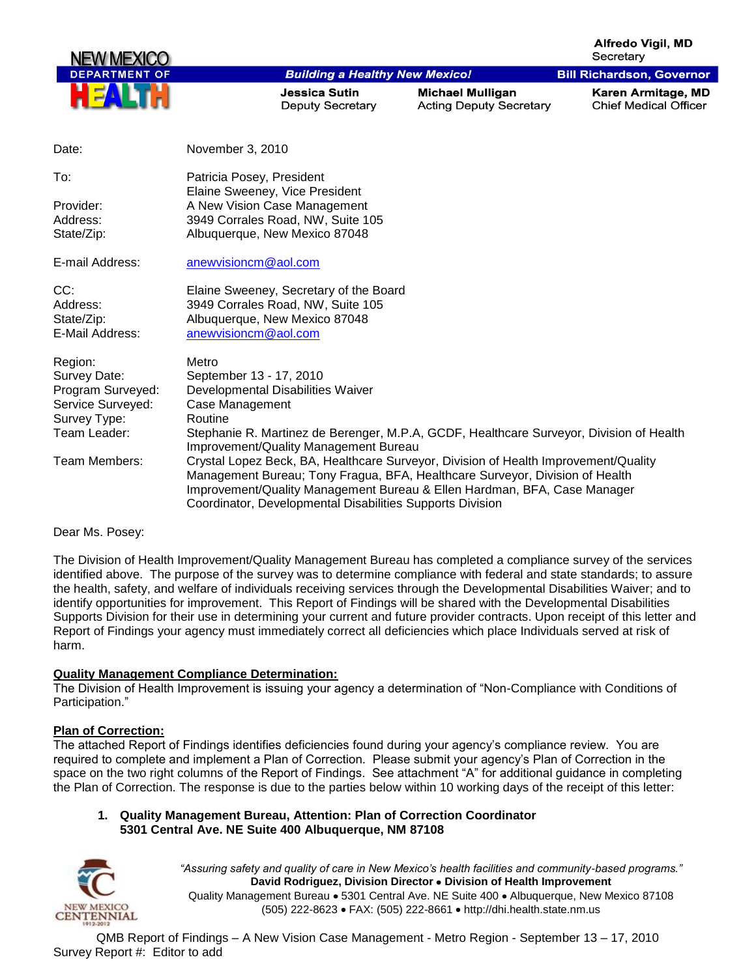**Alfredo Viail, MD** Secretary

**Bill Richardson, Governor** 



**Building a Healthy New Mexico!** 

**Jessica Sutin Deputy Secretary** 

**Michael Mulligan Acting Deputy Secretary**  Karen Armitage, MD **Chief Medical Officer** 

| Date:             | November 3, 2010                                                                                                                                                                                                                                                                                             |
|-------------------|--------------------------------------------------------------------------------------------------------------------------------------------------------------------------------------------------------------------------------------------------------------------------------------------------------------|
| To:               | Patricia Posey, President<br>Elaine Sweeney, Vice President                                                                                                                                                                                                                                                  |
| Provider:         | A New Vision Case Management                                                                                                                                                                                                                                                                                 |
| Address:          | 3949 Corrales Road, NW, Suite 105                                                                                                                                                                                                                                                                            |
| State/Zip:        | Albuquerque, New Mexico 87048                                                                                                                                                                                                                                                                                |
| E-mail Address:   | anewvisioncm@aol.com                                                                                                                                                                                                                                                                                         |
| CC:               | Elaine Sweeney, Secretary of the Board                                                                                                                                                                                                                                                                       |
| Address:          | 3949 Corrales Road, NW, Suite 105                                                                                                                                                                                                                                                                            |
| State/Zip:        | Albuquerque, New Mexico 87048                                                                                                                                                                                                                                                                                |
| E-Mail Address:   | anewvisioncm@aol.com                                                                                                                                                                                                                                                                                         |
| Region:           | Metro                                                                                                                                                                                                                                                                                                        |
| Survey Date:      | September 13 - 17, 2010                                                                                                                                                                                                                                                                                      |
| Program Surveyed: | Developmental Disabilities Waiver                                                                                                                                                                                                                                                                            |
| Service Surveyed: | Case Management                                                                                                                                                                                                                                                                                              |
| Survey Type:      | Routine                                                                                                                                                                                                                                                                                                      |
| Team Leader:      | Stephanie R. Martinez de Berenger, M.P.A, GCDF, Healthcare Surveyor, Division of Health<br>Improvement/Quality Management Bureau                                                                                                                                                                             |
| Team Members:     | Crystal Lopez Beck, BA, Healthcare Surveyor, Division of Health Improvement/Quality<br>Management Bureau; Tony Fragua, BFA, Healthcare Surveyor, Division of Health<br>Improvement/Quality Management Bureau & Ellen Hardman, BFA, Case Manager<br>Coordinator, Developmental Disabilities Supports Division |

Dear Ms. Posey:

The Division of Health Improvement/Quality Management Bureau has completed a compliance survey of the services identified above. The purpose of the survey was to determine compliance with federal and state standards; to assure the health, safety, and welfare of individuals receiving services through the Developmental Disabilities Waiver; and to identify opportunities for improvement. This Report of Findings will be shared with the Developmental Disabilities Supports Division for their use in determining your current and future provider contracts. Upon receipt of this letter and Report of Findings your agency must immediately correct all deficiencies which place Individuals served at risk of harm.

## **Quality Management Compliance Determination:**

The Division of Health Improvement is issuing your agency a determination of "Non-Compliance with Conditions of Participation."

#### **Plan of Correction:**

The attached Report of Findings identifies deficiencies found during your agency"s compliance review. You are required to complete and implement a Plan of Correction. Please submit your agency"s Plan of Correction in the space on the two right columns of the Report of Findings. See attachment "A" for additional guidance in completing the Plan of Correction. The response is due to the parties below within 10 working days of the receipt of this letter:

### **1. Quality Management Bureau, Attention: Plan of Correction Coordinator 5301 Central Ave. NE Suite 400 Albuquerque, NM 87108**



*"Assuring safety and quality of care in New Mexico's health facilities and community-based programs."* **David Rodriguez, Division Director Division of Health Improvement**  Quality Management Bureau • 5301 Central Ave. NE Suite 400 • Albuquerque, New Mexico 87108 (505) 222-8623 • FAX: (505) 222-8661 • http://dhi.health.state.nm.us

QMB Report of Findings – A New Vision Case Management - Metro Region - September 13 – 17, 2010 Survey Report #: Editor to add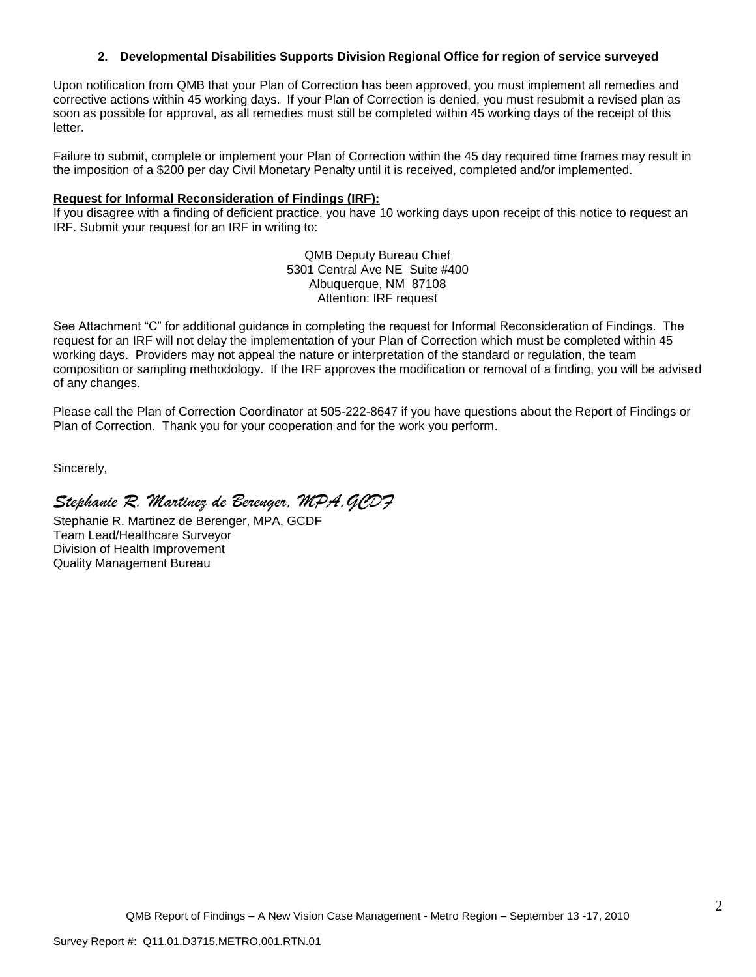### **2. Developmental Disabilities Supports Division Regional Office for region of service surveyed**

Upon notification from QMB that your Plan of Correction has been approved, you must implement all remedies and corrective actions within 45 working days. If your Plan of Correction is denied, you must resubmit a revised plan as soon as possible for approval, as all remedies must still be completed within 45 working days of the receipt of this letter.

Failure to submit, complete or implement your Plan of Correction within the 45 day required time frames may result in the imposition of a \$200 per day Civil Monetary Penalty until it is received, completed and/or implemented.

#### **Request for Informal Reconsideration of Findings (IRF):**

If you disagree with a finding of deficient practice, you have 10 working days upon receipt of this notice to request an IRF. Submit your request for an IRF in writing to:

> QMB Deputy Bureau Chief 5301 Central Ave NE Suite #400 Albuquerque, NM 87108 Attention: IRF request

See Attachment "C" for additional guidance in completing the request for Informal Reconsideration of Findings. The request for an IRF will not delay the implementation of your Plan of Correction which must be completed within 45 working days. Providers may not appeal the nature or interpretation of the standard or regulation, the team composition or sampling methodology. If the IRF approves the modification or removal of a finding, you will be advised of any changes.

Please call the Plan of Correction Coordinator at 505-222-8647 if you have questions about the Report of Findings or Plan of Correction. Thank you for your cooperation and for the work you perform.

Sincerely,

*Stephanie R. Martinez de Berenger, MPA,GCDF*

Stephanie R. Martinez de Berenger, MPA, GCDF Team Lead/Healthcare Surveyor Division of Health Improvement Quality Management Bureau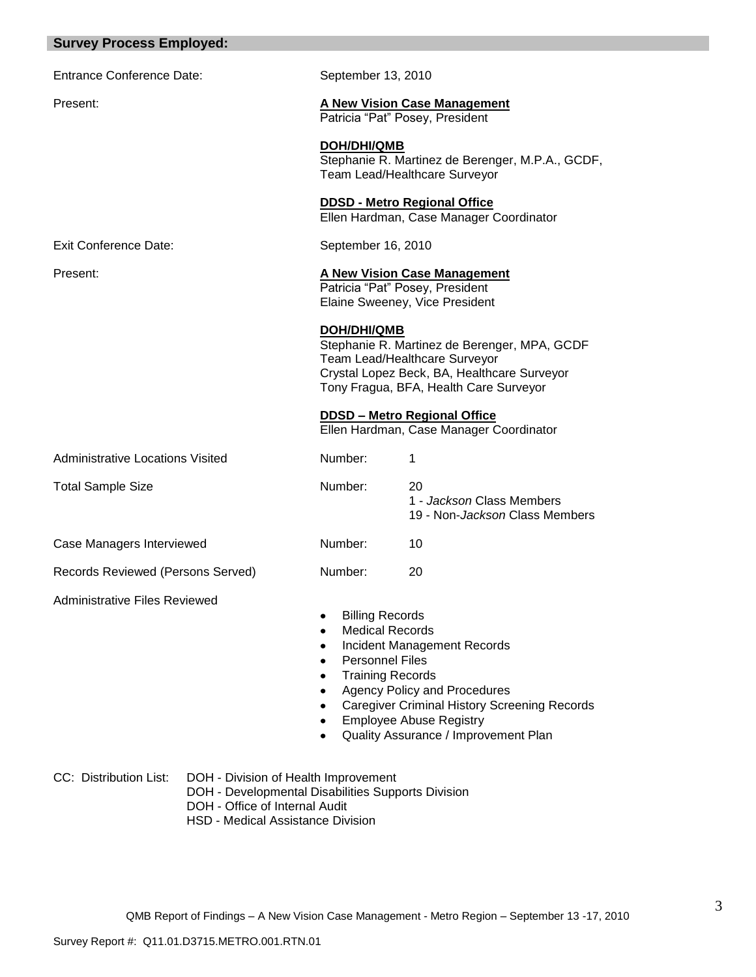| <b>Survey Process Employed:</b>         |                                                                                                                              |                                                                                                       |                                                                                                                                                                                                     |
|-----------------------------------------|------------------------------------------------------------------------------------------------------------------------------|-------------------------------------------------------------------------------------------------------|-----------------------------------------------------------------------------------------------------------------------------------------------------------------------------------------------------|
| Entrance Conference Date:               |                                                                                                                              | September 13, 2010                                                                                    |                                                                                                                                                                                                     |
| Present:                                |                                                                                                                              |                                                                                                       | <b>A New Vision Case Management</b><br>Patricia "Pat" Posey, President                                                                                                                              |
|                                         |                                                                                                                              | <b>DOH/DHI/QMB</b>                                                                                    | Stephanie R. Martinez de Berenger, M.P.A., GCDF,<br>Team Lead/Healthcare Surveyor                                                                                                                   |
|                                         |                                                                                                                              |                                                                                                       | <b>DDSD - Metro Regional Office</b><br>Ellen Hardman, Case Manager Coordinator                                                                                                                      |
| <b>Exit Conference Date:</b>            |                                                                                                                              | September 16, 2010                                                                                    |                                                                                                                                                                                                     |
| Present:                                |                                                                                                                              |                                                                                                       | <b>A New Vision Case Management</b><br>Patricia "Pat" Posey, President<br>Elaine Sweeney, Vice President                                                                                            |
|                                         |                                                                                                                              | DOH/DHI/QMB                                                                                           | Stephanie R. Martinez de Berenger, MPA, GCDF<br>Team Lead/Healthcare Surveyor<br>Crystal Lopez Beck, BA, Healthcare Surveyor<br>Tony Fragua, BFA, Health Care Surveyor                              |
|                                         |                                                                                                                              |                                                                                                       | <b>DDSD - Metro Regional Office</b><br>Ellen Hardman, Case Manager Coordinator                                                                                                                      |
| <b>Administrative Locations Visited</b> |                                                                                                                              | Number:                                                                                               | 1                                                                                                                                                                                                   |
| <b>Total Sample Size</b>                |                                                                                                                              | Number:                                                                                               | 20<br>1 - Jackson Class Members<br>19 - Non- <i>Jackson</i> Class Members                                                                                                                           |
| Case Managers Interviewed               |                                                                                                                              | Number:                                                                                               | 10                                                                                                                                                                                                  |
| Records Reviewed (Persons Served)       |                                                                                                                              | Number:                                                                                               | 20                                                                                                                                                                                                  |
| <b>Administrative Files Reviewed</b>    |                                                                                                                              | <b>Billing Records</b><br><b>Medical Records</b><br><b>Personnel Files</b><br><b>Training Records</b> | Incident Management Records<br><b>Agency Policy and Procedures</b><br><b>Caregiver Criminal History Screening Records</b><br><b>Employee Abuse Registry</b><br>Quality Assurance / Improvement Plan |
| CC: Distribution List:                  | DOH - Division of Health Improvement<br>DOH - Developmental Disabilities Supports Division<br>DOH - Office of Internal Audit |                                                                                                       |                                                                                                                                                                                                     |

HSD - Medical Assistance Division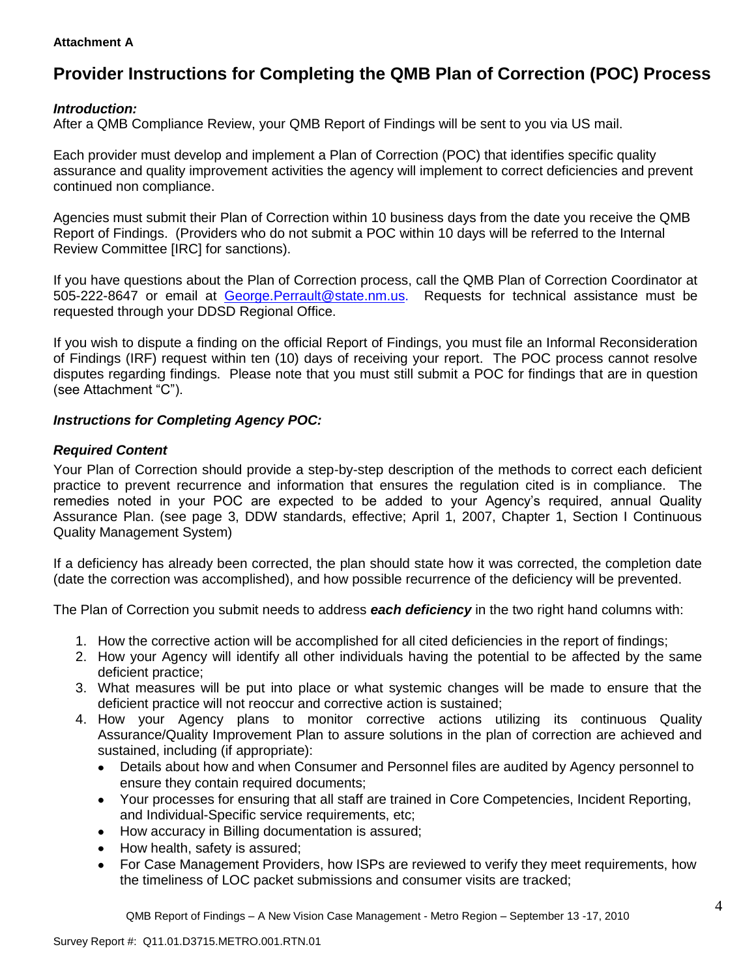## **Attachment A**

# **Provider Instructions for Completing the QMB Plan of Correction (POC) Process**

# *Introduction:*

After a QMB Compliance Review, your QMB Report of Findings will be sent to you via US mail.

Each provider must develop and implement a Plan of Correction (POC) that identifies specific quality assurance and quality improvement activities the agency will implement to correct deficiencies and prevent continued non compliance.

Agencies must submit their Plan of Correction within 10 business days from the date you receive the QMB Report of Findings. (Providers who do not submit a POC within 10 days will be referred to the Internal Review Committee [IRC] for sanctions).

If you have questions about the Plan of Correction process, call the QMB Plan of Correction Coordinator at 505-222-8647 or email at George.Perrault@state.nm.us. Requests for technical assistance must be requested through your DDSD Regional Office.

If you wish to dispute a finding on the official Report of Findings, you must file an Informal Reconsideration of Findings (IRF) request within ten (10) days of receiving your report. The POC process cannot resolve disputes regarding findings. Please note that you must still submit a POC for findings that are in question (see Attachment "C").

# *Instructions for Completing Agency POC:*

# *Required Content*

Your Plan of Correction should provide a step-by-step description of the methods to correct each deficient practice to prevent recurrence and information that ensures the regulation cited is in compliance. The remedies noted in your POC are expected to be added to your Agency's required, annual Quality Assurance Plan. (see page 3, DDW standards, effective; April 1, 2007, Chapter 1, Section I Continuous Quality Management System)

If a deficiency has already been corrected, the plan should state how it was corrected, the completion date (date the correction was accomplished), and how possible recurrence of the deficiency will be prevented.

The Plan of Correction you submit needs to address *each deficiency* in the two right hand columns with:

- 1. How the corrective action will be accomplished for all cited deficiencies in the report of findings;
- 2. How your Agency will identify all other individuals having the potential to be affected by the same deficient practice;
- 3. What measures will be put into place or what systemic changes will be made to ensure that the deficient practice will not reoccur and corrective action is sustained;
- 4. How your Agency plans to monitor corrective actions utilizing its continuous Quality Assurance/Quality Improvement Plan to assure solutions in the plan of correction are achieved and sustained, including (if appropriate):
	- $\bullet$ Details about how and when Consumer and Personnel files are audited by Agency personnel to ensure they contain required documents;
	- $\bullet$ Your processes for ensuring that all staff are trained in Core Competencies, Incident Reporting, and Individual-Specific service requirements, etc;
	- How accuracy in Billing documentation is assured;
	- How health, safety is assured;
	- For Case Management Providers, how ISPs are reviewed to verify they meet requirements, how  $\bullet$ the timeliness of LOC packet submissions and consumer visits are tracked;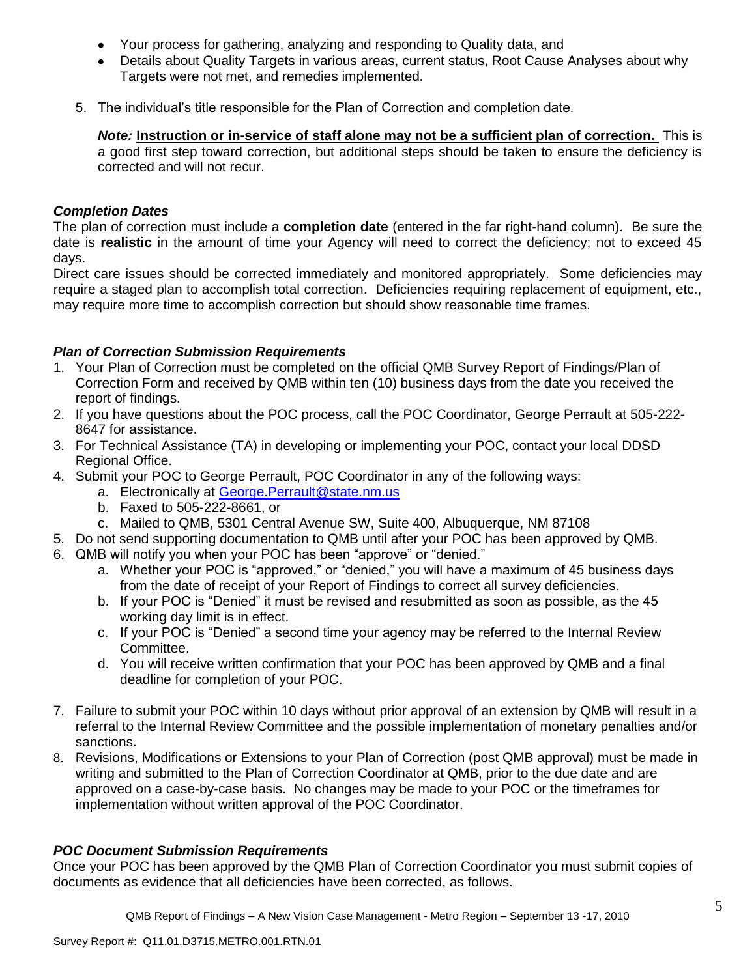- Your process for gathering, analyzing and responding to Quality data, and
- Details about Quality Targets in various areas, current status, Root Cause Analyses about why Targets were not met, and remedies implemented.
- 5. The individual"s title responsible for the Plan of Correction and completion date.

*Note:* **Instruction or in-service of staff alone may not be a sufficient plan of correction.** This is a good first step toward correction, but additional steps should be taken to ensure the deficiency is corrected and will not recur.

# *Completion Dates*

The plan of correction must include a **completion date** (entered in the far right-hand column). Be sure the date is **realistic** in the amount of time your Agency will need to correct the deficiency; not to exceed 45 days.

Direct care issues should be corrected immediately and monitored appropriately. Some deficiencies may require a staged plan to accomplish total correction. Deficiencies requiring replacement of equipment, etc., may require more time to accomplish correction but should show reasonable time frames.

# *Plan of Correction Submission Requirements*

- 1. Your Plan of Correction must be completed on the official QMB Survey Report of Findings/Plan of Correction Form and received by QMB within ten (10) business days from the date you received the report of findings.
- 2. If you have questions about the POC process, call the POC Coordinator, George Perrault at 505-222- 8647 for assistance.
- 3. For Technical Assistance (TA) in developing or implementing your POC, contact your local DDSD Regional Office.
- 4. Submit your POC to George Perrault, POC Coordinator in any of the following ways:
	- a. Electronically at [George.Perrault@state.nm.us](mailto:George.Perrault@state.nm.us)
	- b. Faxed to 505-222-8661, or
	- c. Mailed to QMB, 5301 Central Avenue SW, Suite 400, Albuquerque, NM 87108
- 5. Do not send supporting documentation to QMB until after your POC has been approved by QMB.
- 6. QMB will notify you when your POC has been "approve" or "denied."
	- a. Whether your POC is "approved," or "denied," you will have a maximum of 45 business days from the date of receipt of your Report of Findings to correct all survey deficiencies.
	- b. If your POC is "Denied" it must be revised and resubmitted as soon as possible, as the 45 working day limit is in effect.
	- c. If your POC is "Denied" a second time your agency may be referred to the Internal Review Committee.
	- d. You will receive written confirmation that your POC has been approved by QMB and a final deadline for completion of your POC.
- 7. Failure to submit your POC within 10 days without prior approval of an extension by QMB will result in a referral to the Internal Review Committee and the possible implementation of monetary penalties and/or sanctions.
- 8. Revisions, Modifications or Extensions to your Plan of Correction (post QMB approval) must be made in writing and submitted to the Plan of Correction Coordinator at QMB, prior to the due date and are approved on a case-by-case basis. No changes may be made to your POC or the timeframes for implementation without written approval of the POC Coordinator.

# *POC Document Submission Requirements*

Once your POC has been approved by the QMB Plan of Correction Coordinator you must submit copies of documents as evidence that all deficiencies have been corrected, as follows.

QMB Report of Findings – A New Vision Case Management - Metro Region – September 13 -17, 2010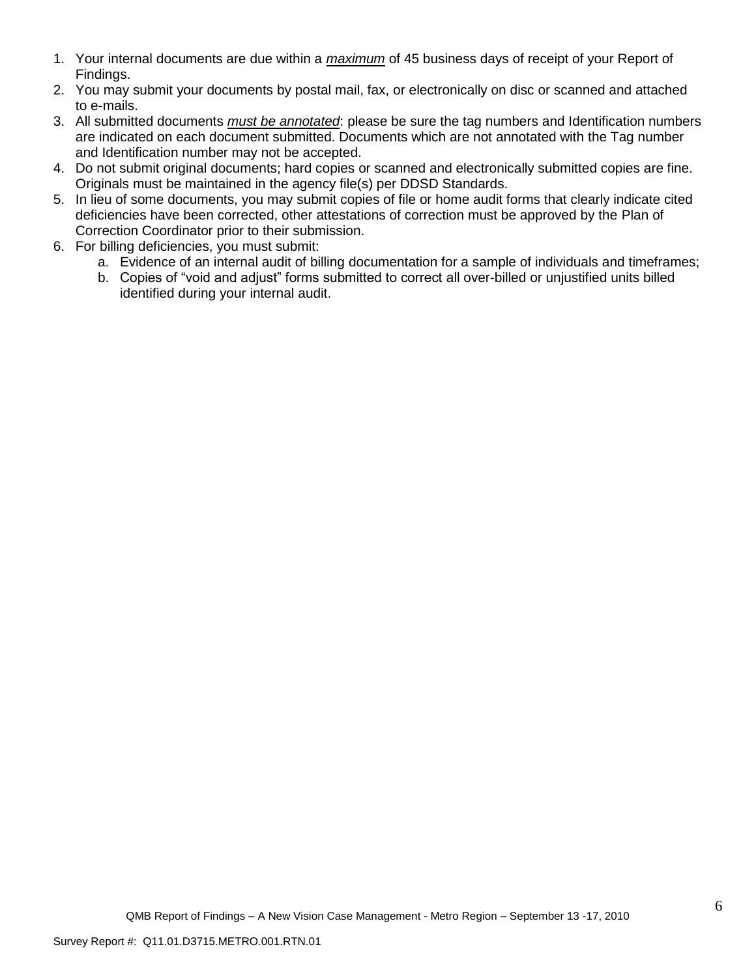- 1. Your internal documents are due within a *maximum* of 45 business days of receipt of your Report of Findings.
- 2. You may submit your documents by postal mail, fax, or electronically on disc or scanned and attached to e-mails.
- 3. All submitted documents *must be annotated*: please be sure the tag numbers and Identification numbers are indicated on each document submitted. Documents which are not annotated with the Tag number and Identification number may not be accepted.
- 4. Do not submit original documents; hard copies or scanned and electronically submitted copies are fine. Originals must be maintained in the agency file(s) per DDSD Standards.
- 5. In lieu of some documents, you may submit copies of file or home audit forms that clearly indicate cited deficiencies have been corrected, other attestations of correction must be approved by the Plan of Correction Coordinator prior to their submission.
- 6. For billing deficiencies, you must submit:
	- a. Evidence of an internal audit of billing documentation for a sample of individuals and timeframes;
	- b. Copies of "void and adjust" forms submitted to correct all over-billed or unjustified units billed identified during your internal audit.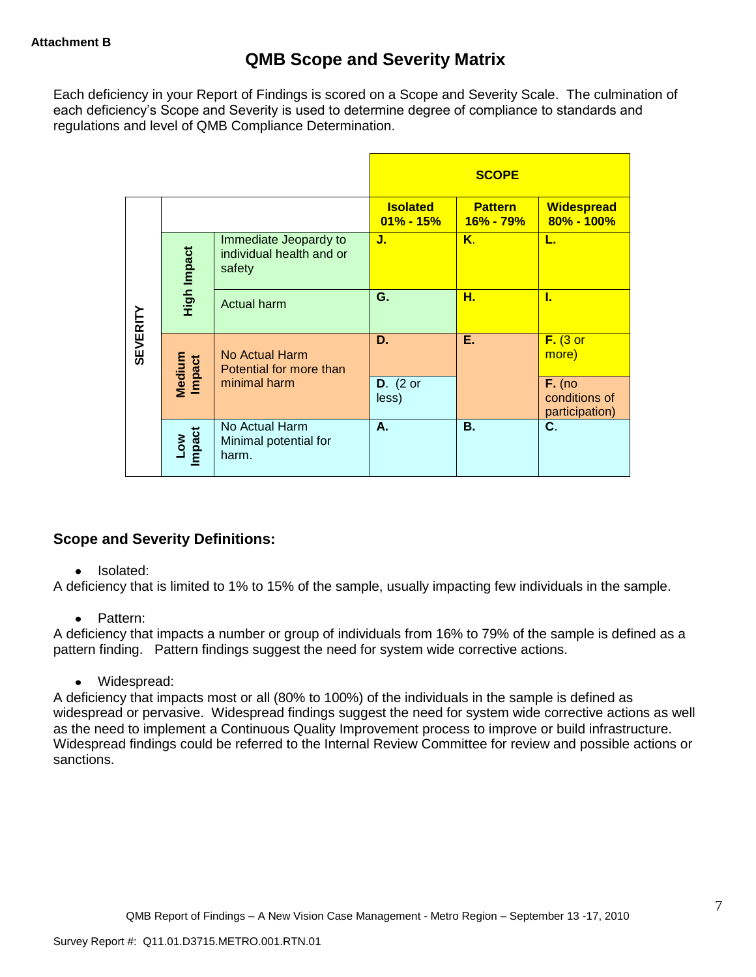Each deficiency in your Report of Findings is scored on a Scope and Severity Scale. The culmination of each deficiency"s Scope and Severity is used to determine degree of compliance to standards and regulations and level of QMB Compliance Determination.

|                 |                                                                            |                                                  |                                  | <b>SCOPE</b>                |                                             |
|-----------------|----------------------------------------------------------------------------|--------------------------------------------------|----------------------------------|-----------------------------|---------------------------------------------|
|                 |                                                                            |                                                  | <b>Isolated</b><br>$01\% - 15\%$ | <b>Pattern</b><br>16% - 79% | <b>Widespread</b><br>$80\% - 100\%$         |
|                 | Immediate Jeopardy to<br>High Impact<br>individual health and or<br>safety |                                                  | J.                               | Κ.                          | L.                                          |
|                 |                                                                            | <b>Actual harm</b>                               | G.                               | н.                          | L                                           |
| <b>SEVERITY</b> | Medium<br>Impact                                                           | No Actual Harm<br>Potential for more than        | D.                               | Е.                          | $F.$ (3 or<br>more)                         |
|                 |                                                                            | minimal harm                                     | $D.$ (2 or<br>less)              |                             | $F.$ (no<br>conditions of<br>participation) |
|                 | Impact<br><b>Low</b>                                                       | No Actual Harm<br>Minimal potential for<br>harm. | А.                               | В.                          | C.                                          |

# **Scope and Severity Definitions:**

# • Isolated:

A deficiency that is limited to 1% to 15% of the sample, usually impacting few individuals in the sample.

# • Pattern:

A deficiency that impacts a number or group of individuals from 16% to 79% of the sample is defined as a pattern finding. Pattern findings suggest the need for system wide corrective actions.

Widespread:

A deficiency that impacts most or all (80% to 100%) of the individuals in the sample is defined as widespread or pervasive. Widespread findings suggest the need for system wide corrective actions as well as the need to implement a Continuous Quality Improvement process to improve or build infrastructure. Widespread findings could be referred to the Internal Review Committee for review and possible actions or sanctions.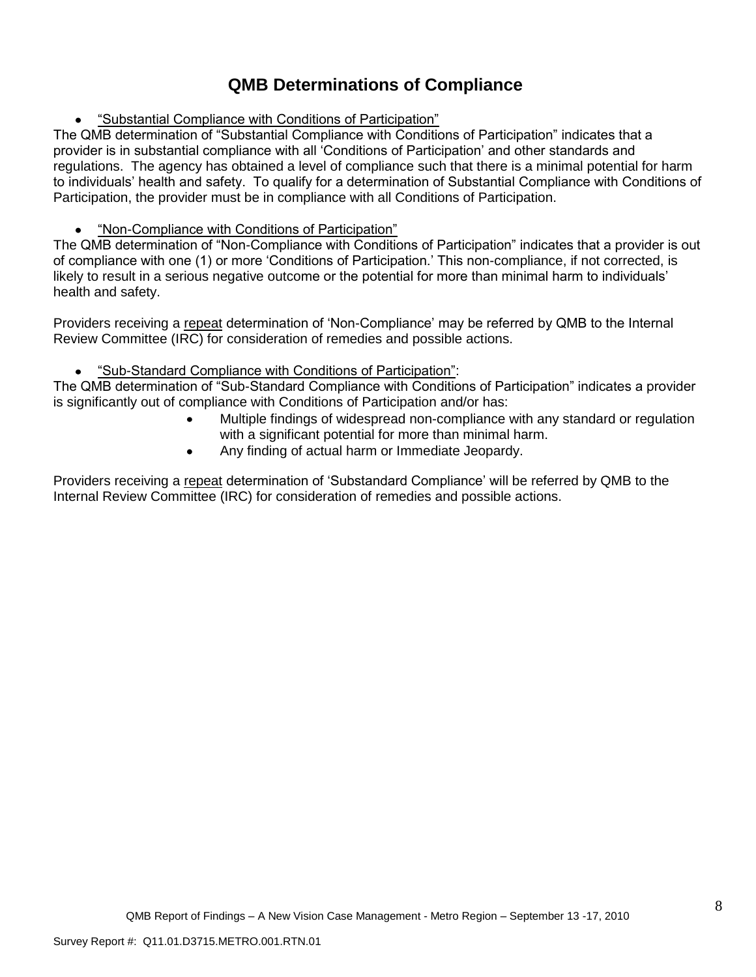# **QMB Determinations of Compliance**

"Substantial Compliance with Conditions of Participation"

The QMB determination of "Substantial Compliance with Conditions of Participation" indicates that a provider is in substantial compliance with all "Conditions of Participation" and other standards and regulations. The agency has obtained a level of compliance such that there is a minimal potential for harm to individuals" health and safety. To qualify for a determination of Substantial Compliance with Conditions of Participation, the provider must be in compliance with all Conditions of Participation.

# "Non-Compliance with Conditions of Participation"

The QMB determination of "Non-Compliance with Conditions of Participation" indicates that a provider is out of compliance with one (1) or more "Conditions of Participation." This non-compliance, if not corrected, is likely to result in a serious negative outcome or the potential for more than minimal harm to individuals' health and safety.

Providers receiving a repeat determination of "Non-Compliance" may be referred by QMB to the Internal Review Committee (IRC) for consideration of remedies and possible actions.

#### "Sub-Standard Compliance with Conditions of Participation":  $\bullet$

The QMB determination of "Sub-Standard Compliance with Conditions of Participation" indicates a provider is significantly out of compliance with Conditions of Participation and/or has:

- Multiple findings of widespread non-compliance with any standard or regulation with a significant potential for more than minimal harm.
- Any finding of actual harm or Immediate Jeopardy.  $\bullet$

Providers receiving a repeat determination of "Substandard Compliance" will be referred by QMB to the Internal Review Committee (IRC) for consideration of remedies and possible actions.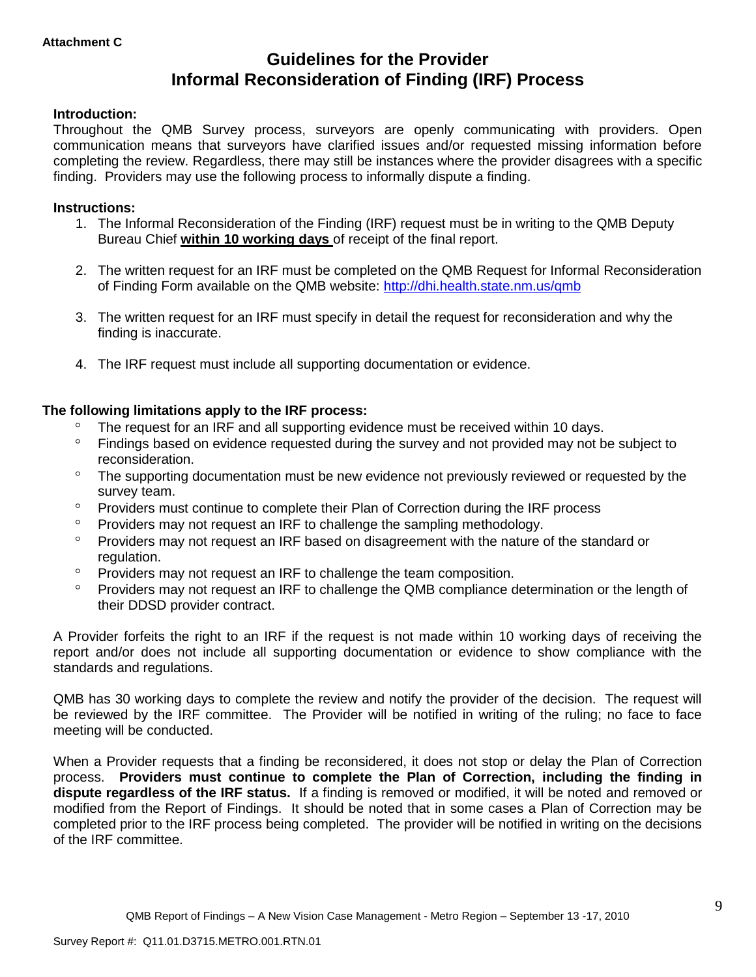# **Guidelines for the Provider Informal Reconsideration of Finding (IRF) Process**

# **Introduction:**

Throughout the QMB Survey process, surveyors are openly communicating with providers. Open communication means that surveyors have clarified issues and/or requested missing information before completing the review. Regardless, there may still be instances where the provider disagrees with a specific finding. Providers may use the following process to informally dispute a finding.

## **Instructions:**

- 1. The Informal Reconsideration of the Finding (IRF) request must be in writing to the QMB Deputy Bureau Chief **within 10 working days** of receipt of the final report.
- 2. The written request for an IRF must be completed on the QMB Request for Informal Reconsideration of Finding Form available on the QMB website:<http://dhi.health.state.nm.us/qmb>
- 3. The written request for an IRF must specify in detail the request for reconsideration and why the finding is inaccurate.
- 4. The IRF request must include all supporting documentation or evidence.

# **The following limitations apply to the IRF process:**

- The request for an IRF and all supporting evidence must be received within 10 days.
- $\circ$ Findings based on evidence requested during the survey and not provided may not be subject to reconsideration.
- $\circ$ The supporting documentation must be new evidence not previously reviewed or requested by the survey team.
- $\circ$ Providers must continue to complete their Plan of Correction during the IRF process
- $\circ$ Providers may not request an IRF to challenge the sampling methodology.
- $\circ$ Providers may not request an IRF based on disagreement with the nature of the standard or regulation.
- $\circ$ Providers may not request an IRF to challenge the team composition.
- $\circ$ Providers may not request an IRF to challenge the QMB compliance determination or the length of their DDSD provider contract.

A Provider forfeits the right to an IRF if the request is not made within 10 working days of receiving the report and/or does not include all supporting documentation or evidence to show compliance with the standards and regulations.

QMB has 30 working days to complete the review and notify the provider of the decision. The request will be reviewed by the IRF committee. The Provider will be notified in writing of the ruling; no face to face meeting will be conducted.

When a Provider requests that a finding be reconsidered, it does not stop or delay the Plan of Correction process. **Providers must continue to complete the Plan of Correction, including the finding in dispute regardless of the IRF status.** If a finding is removed or modified, it will be noted and removed or modified from the Report of Findings. It should be noted that in some cases a Plan of Correction may be completed prior to the IRF process being completed. The provider will be notified in writing on the decisions of the IRF committee.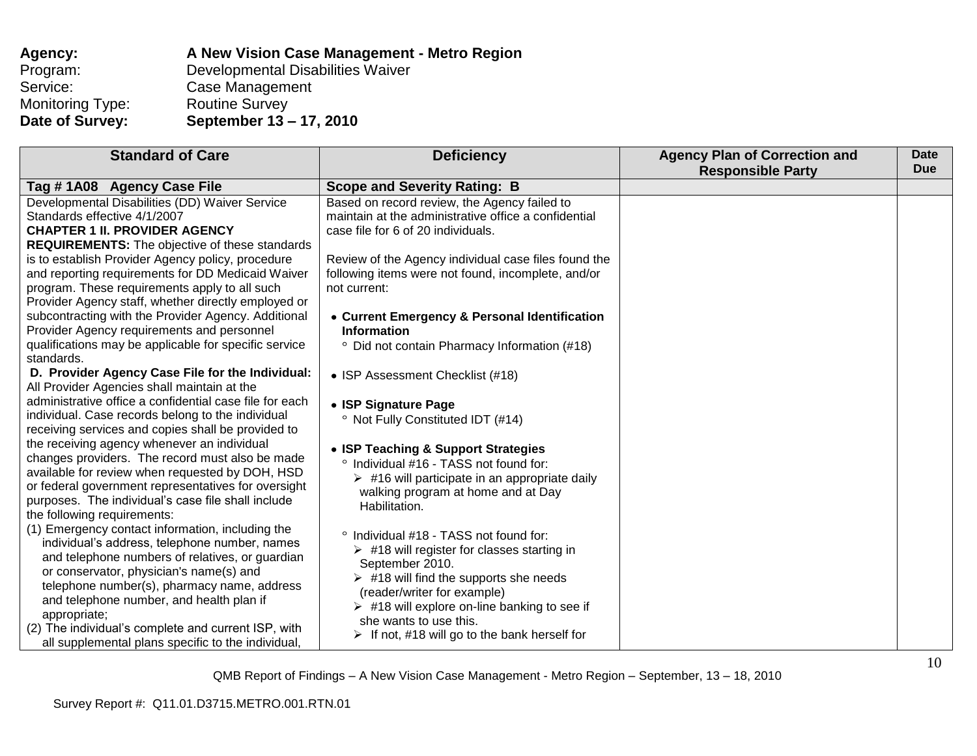| Agency:          | A New Vision Case Management - Metro Region |
|------------------|---------------------------------------------|
| Program:         | Developmental Disabilities Waiver           |
| Service:         | Case Management                             |
| Monitoring Type: | <b>Routine Survey</b>                       |
| Date of Survey:  | September 13 – 17, 2010                     |

| <b>Standard of Care</b>                                                                                                                                                                                                                                                                                                                                                                                                                                                                                                                                                                                                                                                                                                                                                                                                                                                                                                                                                                                                                                                                                                                                                                                                                   | <b>Deficiency</b>                                                                                                                                                                                                                                                                                                                                                                                                                                                                                                                                                                                                                                                                                                                                                                                                                  | <b>Agency Plan of Correction and</b> | <b>Date</b><br><b>Due</b> |
|-------------------------------------------------------------------------------------------------------------------------------------------------------------------------------------------------------------------------------------------------------------------------------------------------------------------------------------------------------------------------------------------------------------------------------------------------------------------------------------------------------------------------------------------------------------------------------------------------------------------------------------------------------------------------------------------------------------------------------------------------------------------------------------------------------------------------------------------------------------------------------------------------------------------------------------------------------------------------------------------------------------------------------------------------------------------------------------------------------------------------------------------------------------------------------------------------------------------------------------------|------------------------------------------------------------------------------------------------------------------------------------------------------------------------------------------------------------------------------------------------------------------------------------------------------------------------------------------------------------------------------------------------------------------------------------------------------------------------------------------------------------------------------------------------------------------------------------------------------------------------------------------------------------------------------------------------------------------------------------------------------------------------------------------------------------------------------------|--------------------------------------|---------------------------|
|                                                                                                                                                                                                                                                                                                                                                                                                                                                                                                                                                                                                                                                                                                                                                                                                                                                                                                                                                                                                                                                                                                                                                                                                                                           |                                                                                                                                                                                                                                                                                                                                                                                                                                                                                                                                                                                                                                                                                                                                                                                                                                    |                                      |                           |
| Tag #1A08 Agency Case File<br>Developmental Disabilities (DD) Waiver Service<br>Standards effective 4/1/2007<br><b>CHAPTER 1 II. PROVIDER AGENCY</b><br><b>REQUIREMENTS:</b> The objective of these standards<br>is to establish Provider Agency policy, procedure<br>and reporting requirements for DD Medicaid Waiver<br>program. These requirements apply to all such<br>Provider Agency staff, whether directly employed or<br>subcontracting with the Provider Agency. Additional<br>Provider Agency requirements and personnel<br>qualifications may be applicable for specific service<br>standards.<br>D. Provider Agency Case File for the Individual:<br>All Provider Agencies shall maintain at the<br>administrative office a confidential case file for each<br>individual. Case records belong to the individual<br>receiving services and copies shall be provided to<br>the receiving agency whenever an individual<br>changes providers. The record must also be made<br>available for review when requested by DOH, HSD<br>or federal government representatives for oversight<br>purposes. The individual's case file shall include<br>the following requirements:<br>(1) Emergency contact information, including the | <b>Scope and Severity Rating: B</b><br>Based on record review, the Agency failed to<br>maintain at the administrative office a confidential<br>case file for 6 of 20 individuals.<br>Review of the Agency individual case files found the<br>following items were not found, incomplete, and/or<br>not current:<br>• Current Emergency & Personal Identification<br><b>Information</b><br><sup>o</sup> Did not contain Pharmacy Information (#18)<br>• ISP Assessment Checklist (#18)<br>• ISP Signature Page<br><sup>o</sup> Not Fully Constituted IDT (#14)<br>• ISP Teaching & Support Strategies<br>Individual #16 - TASS not found for:<br>$\circ$<br>$\triangleright$ #16 will participate in an appropriate daily<br>walking program at home and at Day<br>Habilitation.<br>$\circ$<br>Individual #18 - TASS not found for: | <b>Responsible Party</b>             |                           |
| individual's address, telephone number, names<br>and telephone numbers of relatives, or guardian<br>or conservator, physician's name(s) and<br>telephone number(s), pharmacy name, address<br>and telephone number, and health plan if<br>appropriate;<br>(2) The individual's complete and current ISP, with<br>all supplemental plans specific to the individual,                                                                                                                                                                                                                                                                                                                                                                                                                                                                                                                                                                                                                                                                                                                                                                                                                                                                       | $\triangleright$ #18 will register for classes starting in<br>September 2010.<br>$\triangleright$ #18 will find the supports she needs<br>(reader/writer for example)<br>$\triangleright$ #18 will explore on-line banking to see if<br>she wants to use this.<br>$\triangleright$ If not, #18 will go to the bank herself for                                                                                                                                                                                                                                                                                                                                                                                                                                                                                                     |                                      |                           |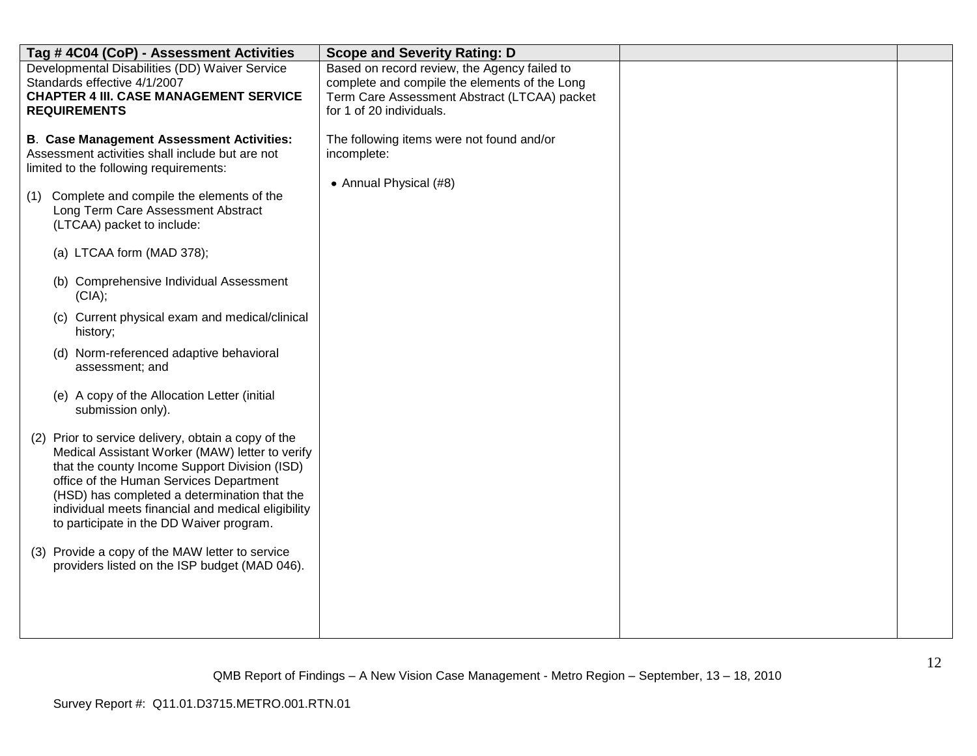| Tag #4C04 (CoP) - Assessment Activities                                                                                                                                                                                                                                                                                                                                                                                                                                                                                                                                                                                                                                                                                                                                                                                                                                                                                                                                                                          | <b>Scope and Severity Rating: D</b>                                                                                                                                       |  |
|------------------------------------------------------------------------------------------------------------------------------------------------------------------------------------------------------------------------------------------------------------------------------------------------------------------------------------------------------------------------------------------------------------------------------------------------------------------------------------------------------------------------------------------------------------------------------------------------------------------------------------------------------------------------------------------------------------------------------------------------------------------------------------------------------------------------------------------------------------------------------------------------------------------------------------------------------------------------------------------------------------------|---------------------------------------------------------------------------------------------------------------------------------------------------------------------------|--|
| Developmental Disabilities (DD) Waiver Service<br>Standards effective 4/1/2007<br><b>CHAPTER 4 III. CASE MANAGEMENT SERVICE</b><br><b>REQUIREMENTS</b>                                                                                                                                                                                                                                                                                                                                                                                                                                                                                                                                                                                                                                                                                                                                                                                                                                                           | Based on record review, the Agency failed to<br>complete and compile the elements of the Long<br>Term Care Assessment Abstract (LTCAA) packet<br>for 1 of 20 individuals. |  |
| <b>B. Case Management Assessment Activities:</b><br>Assessment activities shall include but are not<br>limited to the following requirements:<br>(1) Complete and compile the elements of the<br>Long Term Care Assessment Abstract<br>(LTCAA) packet to include:<br>(a) LTCAA form (MAD 378);<br>(b) Comprehensive Individual Assessment<br>(CIA);<br>(c) Current physical exam and medical/clinical<br>history;<br>(d) Norm-referenced adaptive behavioral<br>assessment; and<br>(e) A copy of the Allocation Letter (initial<br>submission only).<br>(2) Prior to service delivery, obtain a copy of the<br>Medical Assistant Worker (MAW) letter to verify<br>that the county Income Support Division (ISD)<br>office of the Human Services Department<br>(HSD) has completed a determination that the<br>individual meets financial and medical eligibility<br>to participate in the DD Waiver program.<br>(3) Provide a copy of the MAW letter to service<br>providers listed on the ISP budget (MAD 046). | The following items were not found and/or<br>incomplete:<br>• Annual Physical (#8)                                                                                        |  |
|                                                                                                                                                                                                                                                                                                                                                                                                                                                                                                                                                                                                                                                                                                                                                                                                                                                                                                                                                                                                                  |                                                                                                                                                                           |  |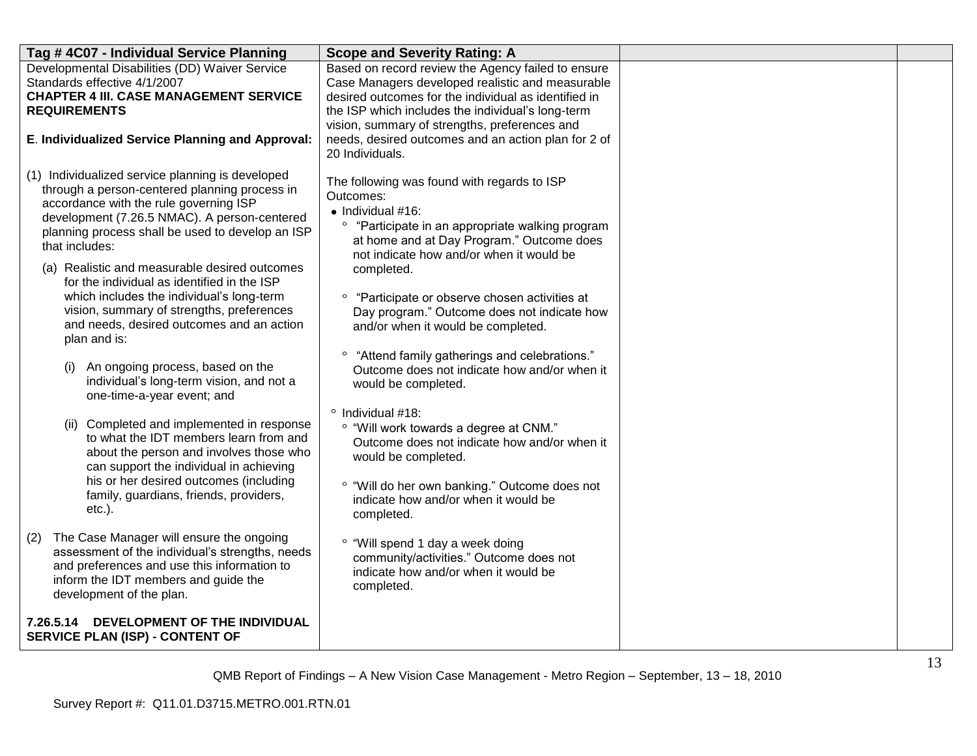| Tag #4C07 - Individual Service Planning                                                                                                                                                                                                                                                                                                                                                                                                                                                                                                                                                                                                                                                                                               | <b>Scope and Severity Rating: A</b>                                                                                                                                                                                                                                                                                                                                                                                                                                                                                                                                                                                                                        |  |
|---------------------------------------------------------------------------------------------------------------------------------------------------------------------------------------------------------------------------------------------------------------------------------------------------------------------------------------------------------------------------------------------------------------------------------------------------------------------------------------------------------------------------------------------------------------------------------------------------------------------------------------------------------------------------------------------------------------------------------------|------------------------------------------------------------------------------------------------------------------------------------------------------------------------------------------------------------------------------------------------------------------------------------------------------------------------------------------------------------------------------------------------------------------------------------------------------------------------------------------------------------------------------------------------------------------------------------------------------------------------------------------------------------|--|
| Developmental Disabilities (DD) Waiver Service<br>Standards effective 4/1/2007<br><b>CHAPTER 4 III. CASE MANAGEMENT SERVICE</b><br><b>REQUIREMENTS</b>                                                                                                                                                                                                                                                                                                                                                                                                                                                                                                                                                                                | Based on record review the Agency failed to ensure<br>Case Managers developed realistic and measurable<br>desired outcomes for the individual as identified in<br>the ISP which includes the individual's long-term<br>vision, summary of strengths, preferences and                                                                                                                                                                                                                                                                                                                                                                                       |  |
| E. Individualized Service Planning and Approval:                                                                                                                                                                                                                                                                                                                                                                                                                                                                                                                                                                                                                                                                                      | needs, desired outcomes and an action plan for 2 of<br>20 Individuals.                                                                                                                                                                                                                                                                                                                                                                                                                                                                                                                                                                                     |  |
| (1) Individualized service planning is developed<br>through a person-centered planning process in<br>accordance with the rule governing ISP<br>development (7.26.5 NMAC). A person-centered<br>planning process shall be used to develop an ISP<br>that includes:<br>(a) Realistic and measurable desired outcomes<br>for the individual as identified in the ISP<br>which includes the individual's long-term<br>vision, summary of strengths, preferences<br>and needs, desired outcomes and an action<br>plan and is:<br>An ongoing process, based on the<br>(i)<br>individual's long-term vision, and not a<br>one-time-a-year event; and<br>(ii) Completed and implemented in response<br>to what the IDT members learn from and | The following was found with regards to ISP<br>Outcomes:<br>$\bullet$ Individual #16:<br>$\circ$<br>"Participate in an appropriate walking program<br>at home and at Day Program." Outcome does<br>not indicate how and/or when it would be<br>completed.<br><sup>o</sup> "Participate or observe chosen activities at<br>Day program." Outcome does not indicate how<br>and/or when it would be completed.<br>"Attend family gatherings and celebrations."<br>Outcome does not indicate how and/or when it<br>would be completed.<br>$^{\circ}$ Individual #18:<br>° "Will work towards a degree at CNM."<br>Outcome does not indicate how and/or when it |  |
| about the person and involves those who<br>can support the individual in achieving<br>his or her desired outcomes (including<br>family, guardians, friends, providers,<br>$etc.$ ).                                                                                                                                                                                                                                                                                                                                                                                                                                                                                                                                                   | would be completed.<br>° "Will do her own banking." Outcome does not<br>indicate how and/or when it would be<br>completed.                                                                                                                                                                                                                                                                                                                                                                                                                                                                                                                                 |  |
| The Case Manager will ensure the ongoing<br>(2)<br>assessment of the individual's strengths, needs<br>and preferences and use this information to<br>inform the IDT members and guide the<br>development of the plan.                                                                                                                                                                                                                                                                                                                                                                                                                                                                                                                 | ° "Will spend 1 day a week doing<br>community/activities." Outcome does not<br>indicate how and/or when it would be<br>completed.                                                                                                                                                                                                                                                                                                                                                                                                                                                                                                                          |  |
| 7.26.5.14 DEVELOPMENT OF THE INDIVIDUAL<br><b>SERVICE PLAN (ISP) - CONTENT OF</b>                                                                                                                                                                                                                                                                                                                                                                                                                                                                                                                                                                                                                                                     |                                                                                                                                                                                                                                                                                                                                                                                                                                                                                                                                                                                                                                                            |  |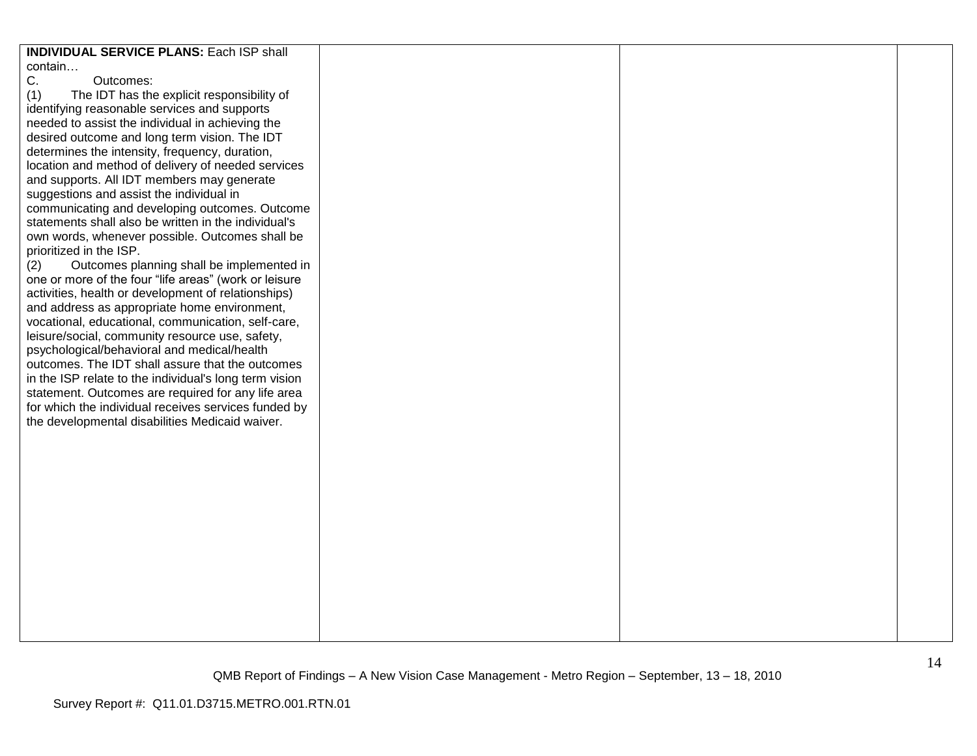| <b>INDIVIDUAL SERVICE PLANS: Each ISP shall</b>        |  |  |
|--------------------------------------------------------|--|--|
| contain                                                |  |  |
| С.<br>Outcomes:                                        |  |  |
| (1)<br>The IDT has the explicit responsibility of      |  |  |
| identifying reasonable services and supports           |  |  |
|                                                        |  |  |
| needed to assist the individual in achieving the       |  |  |
| desired outcome and long term vision. The IDT          |  |  |
| determines the intensity, frequency, duration,         |  |  |
| location and method of delivery of needed services     |  |  |
| and supports. All IDT members may generate             |  |  |
| suggestions and assist the individual in               |  |  |
| communicating and developing outcomes. Outcome         |  |  |
|                                                        |  |  |
| statements shall also be written in the individual's   |  |  |
| own words, whenever possible. Outcomes shall be        |  |  |
| prioritized in the ISP.                                |  |  |
| Outcomes planning shall be implemented in<br>(2)       |  |  |
| one or more of the four "life areas" (work or leisure  |  |  |
| activities, health or development of relationships)    |  |  |
| and address as appropriate home environment,           |  |  |
| vocational, educational, communication, self-care,     |  |  |
|                                                        |  |  |
| leisure/social, community resource use, safety,        |  |  |
| psychological/behavioral and medical/health            |  |  |
| outcomes. The IDT shall assure that the outcomes       |  |  |
| in the ISP relate to the individual's long term vision |  |  |
| statement. Outcomes are required for any life area     |  |  |
| for which the individual receives services funded by   |  |  |
| the developmental disabilities Medicaid waiver.        |  |  |
|                                                        |  |  |
|                                                        |  |  |
|                                                        |  |  |
|                                                        |  |  |
|                                                        |  |  |
|                                                        |  |  |
|                                                        |  |  |
|                                                        |  |  |
|                                                        |  |  |
|                                                        |  |  |
|                                                        |  |  |
|                                                        |  |  |
|                                                        |  |  |
|                                                        |  |  |
|                                                        |  |  |
|                                                        |  |  |
|                                                        |  |  |
|                                                        |  |  |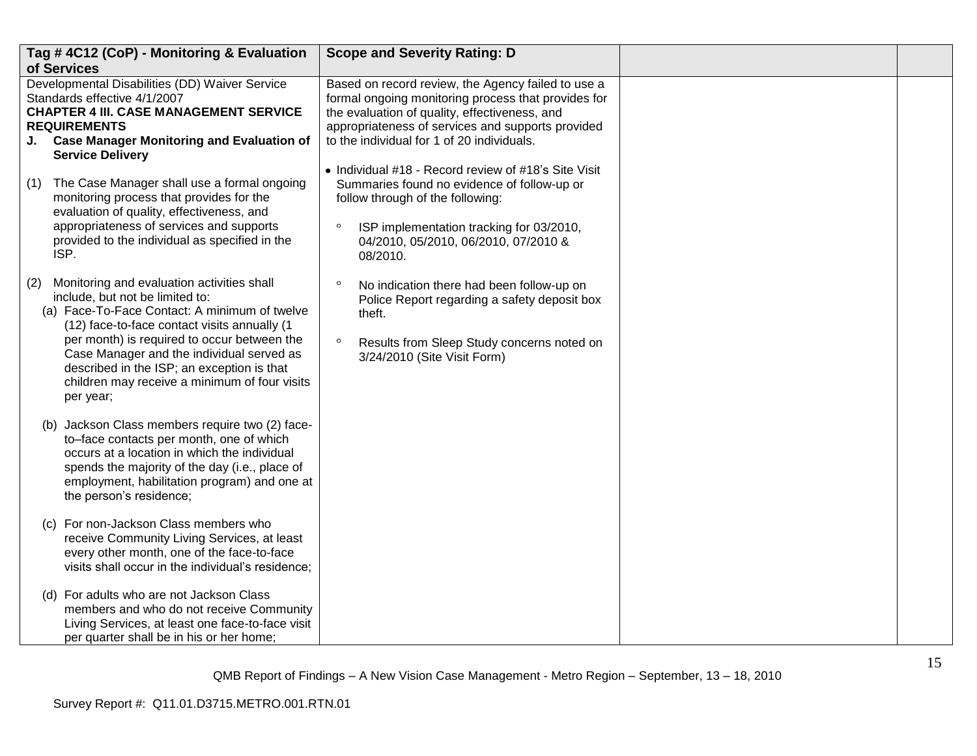|     | Tag #4C12 (CoP) - Monitoring & Evaluation<br>of Services                                                                                                                                                                                                                                                                                                                               | <b>Scope and Severity Rating: D</b>                                                                                                                                                                                                                           |  |
|-----|----------------------------------------------------------------------------------------------------------------------------------------------------------------------------------------------------------------------------------------------------------------------------------------------------------------------------------------------------------------------------------------|---------------------------------------------------------------------------------------------------------------------------------------------------------------------------------------------------------------------------------------------------------------|--|
|     | Developmental Disabilities (DD) Waiver Service<br>Standards effective 4/1/2007<br><b>CHAPTER 4 III. CASE MANAGEMENT SERVICE</b><br><b>REQUIREMENTS</b><br>J. Case Manager Monitoring and Evaluation of<br><b>Service Delivery</b>                                                                                                                                                      | Based on record review, the Agency failed to use a<br>formal ongoing monitoring process that provides for<br>the evaluation of quality, effectiveness, and<br>appropriateness of services and supports provided<br>to the individual for 1 of 20 individuals. |  |
| (1) | The Case Manager shall use a formal ongoing<br>monitoring process that provides for the<br>evaluation of quality, effectiveness, and<br>appropriateness of services and supports<br>provided to the individual as specified in the<br>ISP.                                                                                                                                             | • Individual #18 - Record review of #18's Site Visit<br>Summaries found no evidence of follow-up or<br>follow through of the following:<br>$\circ$<br>ISP implementation tracking for 03/2010,<br>04/2010, 05/2010, 06/2010, 07/2010 &<br>08/2010.            |  |
| (2) | Monitoring and evaluation activities shall<br>include, but not be limited to:<br>(a) Face-To-Face Contact: A minimum of twelve<br>(12) face-to-face contact visits annually (1<br>per month) is required to occur between the<br>Case Manager and the individual served as<br>described in the ISP; an exception is that<br>children may receive a minimum of four visits<br>per year; | $\circ$<br>No indication there had been follow-up on<br>Police Report regarding a safety deposit box<br>theft.<br>$\circ$<br>Results from Sleep Study concerns noted on<br>3/24/2010 (Site Visit Form)                                                        |  |
|     | (b) Jackson Class members require two (2) face-<br>to-face contacts per month, one of which<br>occurs at a location in which the individual<br>spends the majority of the day (i.e., place of<br>employment, habilitation program) and one at<br>the person's residence;                                                                                                               |                                                                                                                                                                                                                                                               |  |
|     | (c) For non-Jackson Class members who<br>receive Community Living Services, at least<br>every other month, one of the face-to-face<br>visits shall occur in the individual's residence;                                                                                                                                                                                                |                                                                                                                                                                                                                                                               |  |
|     | (d) For adults who are not Jackson Class<br>members and who do not receive Community<br>Living Services, at least one face-to-face visit<br>per quarter shall be in his or her home;                                                                                                                                                                                                   |                                                                                                                                                                                                                                                               |  |

QMB Report of Findings – A New Vision Case Management - Metro Region – September, 13 – 18, 2010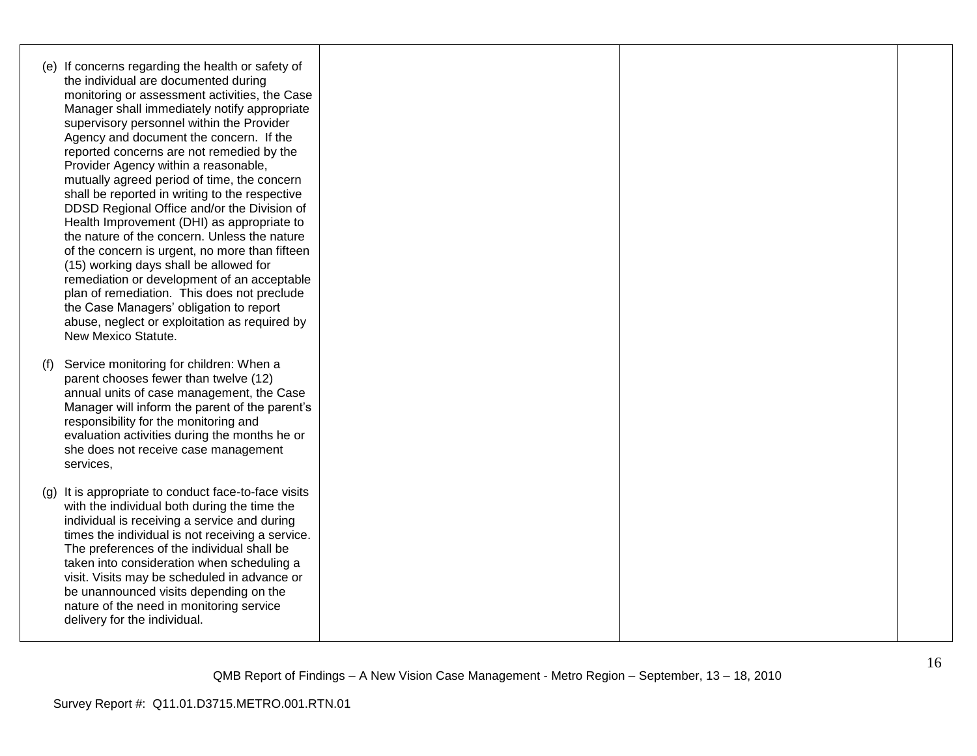- (e) If concerns regarding the health or safety of the individual are documented during monitoring or assessment activities, the Case Manager shall immediately notify appropriate supervisory personnel within the Provider Agency and document the concern. If the reported concerns are not remedied by the Provider Agency within a reasonable, mutually agreed period of time, the concern shall be reported in writing to the respective DDSD Regional Office and/or the Division of Health Improvement (DHI) as appropriate to the nature of the concern. Unless the nature of the concern is urgent, no more than fifteen (15) working days shall be allowed for remediation or development of an acceptable plan of remediation. This does not preclude the Case Managers" obligation to report abuse, neglect or exploitation as required by New Mexico Statute. (f) Service monitoring for children: When a parent chooses fewer than twelve (12) annual units of case management, the Case Manager will inform the parent of the parent's responsibility for the monitoring and evaluation activities during the months he or she does not receive case management services,
	- (g) It is appropriate to conduct face-to-face visits with the individual both during the time the individual is receiving a service and during times the individual is not receiving a service. The preferences of the individual shall be taken into consideration when scheduling a visit. Visits may be scheduled in advance or be unannounced visits depending on the nature of the need in monitoring service delivery for the individual.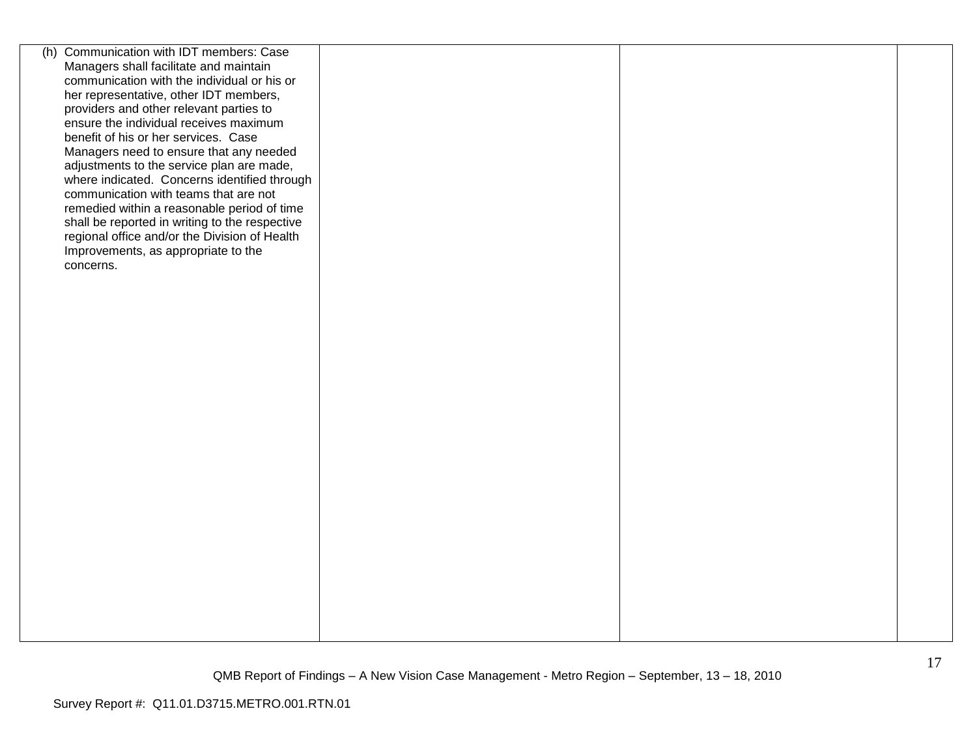| (h) Communication with IDT members: Case                                             |  |  |
|--------------------------------------------------------------------------------------|--|--|
| Managers shall facilitate and maintain                                               |  |  |
| communication with the individual or his or                                          |  |  |
| her representative, other IDT members,                                               |  |  |
| providers and other relevant parties to                                              |  |  |
| ensure the individual receives maximum                                               |  |  |
| benefit of his or her services. Case                                                 |  |  |
| Managers need to ensure that any needed                                              |  |  |
| adjustments to the service plan are made,                                            |  |  |
| where indicated. Concerns identified through                                         |  |  |
| communication with teams that are not                                                |  |  |
| remedied within a reasonable period of time                                          |  |  |
| shall be reported in writing to the respective                                       |  |  |
| regional office and/or the Division of Health<br>Improvements, as appropriate to the |  |  |
| concerns.                                                                            |  |  |
|                                                                                      |  |  |
|                                                                                      |  |  |
|                                                                                      |  |  |
|                                                                                      |  |  |
|                                                                                      |  |  |
|                                                                                      |  |  |
|                                                                                      |  |  |
|                                                                                      |  |  |
|                                                                                      |  |  |
|                                                                                      |  |  |
|                                                                                      |  |  |
|                                                                                      |  |  |
|                                                                                      |  |  |
|                                                                                      |  |  |
|                                                                                      |  |  |
|                                                                                      |  |  |
|                                                                                      |  |  |
|                                                                                      |  |  |
|                                                                                      |  |  |
|                                                                                      |  |  |
|                                                                                      |  |  |
|                                                                                      |  |  |
|                                                                                      |  |  |
|                                                                                      |  |  |
|                                                                                      |  |  |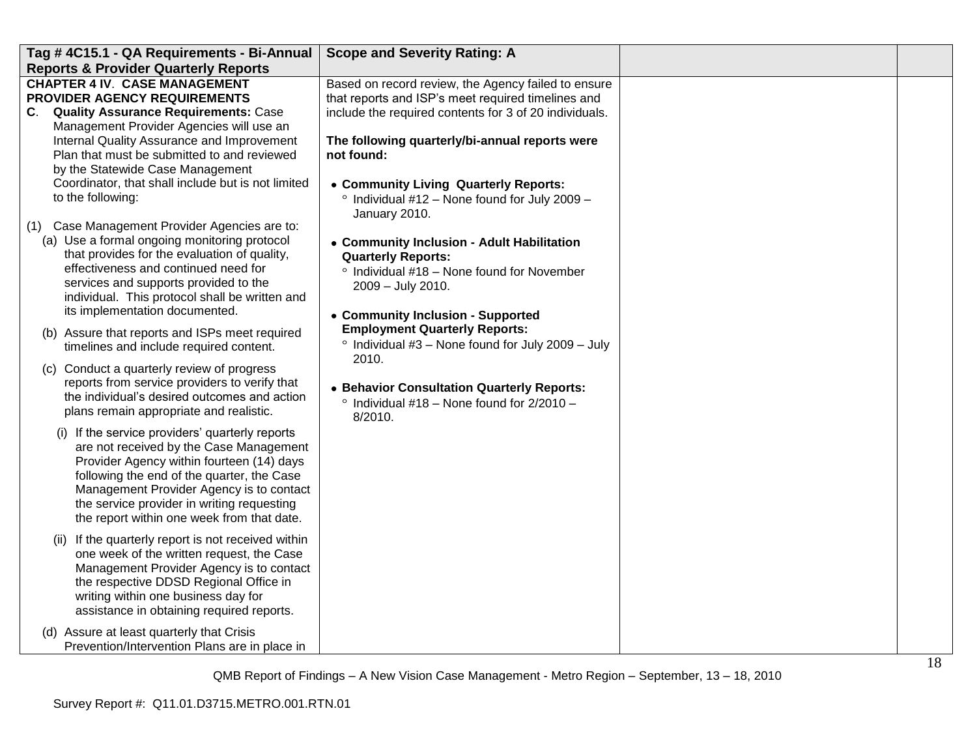| Tag #4C15.1 - QA Requirements - Bi-Annual                                                                                                                                                                                                                                                                                                                                                                                                                                                                                                                           | <b>Scope and Severity Rating: A</b>                                                                                                                                                                                                                                                                                                                                                                                                                                             |  |
|---------------------------------------------------------------------------------------------------------------------------------------------------------------------------------------------------------------------------------------------------------------------------------------------------------------------------------------------------------------------------------------------------------------------------------------------------------------------------------------------------------------------------------------------------------------------|---------------------------------------------------------------------------------------------------------------------------------------------------------------------------------------------------------------------------------------------------------------------------------------------------------------------------------------------------------------------------------------------------------------------------------------------------------------------------------|--|
| <b>Reports &amp; Provider Quarterly Reports</b>                                                                                                                                                                                                                                                                                                                                                                                                                                                                                                                     |                                                                                                                                                                                                                                                                                                                                                                                                                                                                                 |  |
| <b>CHAPTER 4 IV. CASE MANAGEMENT</b><br>PROVIDER AGENCY REQUIREMENTS<br>C. Quality Assurance Requirements: Case<br>Management Provider Agencies will use an<br>Internal Quality Assurance and Improvement<br>Plan that must be submitted to and reviewed<br>by the Statewide Case Management<br>Coordinator, that shall include but is not limited<br>to the following:<br>Case Management Provider Agencies are to:<br>(1)<br>(a) Use a formal ongoing monitoring protocol<br>that provides for the evaluation of quality,<br>effectiveness and continued need for | Based on record review, the Agency failed to ensure<br>that reports and ISP's meet required timelines and<br>include the required contents for 3 of 20 individuals.<br>The following quarterly/bi-annual reports were<br>not found:<br>• Community Living Quarterly Reports:<br>$\degree$ Individual #12 - None found for July 2009 -<br>January 2010.<br>• Community Inclusion - Adult Habilitation<br><b>Quarterly Reports:</b><br>° Individual #18 - None found for November |  |
| services and supports provided to the<br>individual. This protocol shall be written and<br>its implementation documented.<br>(b) Assure that reports and ISPs meet required<br>timelines and include required content.<br>(c) Conduct a quarterly review of progress<br>reports from service providers to verify that<br>the individual's desired outcomes and action<br>plans remain appropriate and realistic.                                                                                                                                                    | 2009 - July 2010.<br>• Community Inclusion - Supported<br><b>Employment Quarterly Reports:</b><br>$\degree$ Individual #3 - None found for July 2009 - July<br>2010.<br>• Behavior Consultation Quarterly Reports:<br>$\degree$ Individual #18 - None found for 2/2010 -<br>8/2010.                                                                                                                                                                                             |  |
| (i) If the service providers' quarterly reports<br>are not received by the Case Management<br>Provider Agency within fourteen (14) days<br>following the end of the quarter, the Case<br>Management Provider Agency is to contact<br>the service provider in writing requesting<br>the report within one week from that date.                                                                                                                                                                                                                                       |                                                                                                                                                                                                                                                                                                                                                                                                                                                                                 |  |
| (ii) If the quarterly report is not received within<br>one week of the written request, the Case<br>Management Provider Agency is to contact<br>the respective DDSD Regional Office in<br>writing within one business day for<br>assistance in obtaining required reports.                                                                                                                                                                                                                                                                                          |                                                                                                                                                                                                                                                                                                                                                                                                                                                                                 |  |
| (d) Assure at least quarterly that Crisis<br>Prevention/Intervention Plans are in place in                                                                                                                                                                                                                                                                                                                                                                                                                                                                          |                                                                                                                                                                                                                                                                                                                                                                                                                                                                                 |  |

QMB Report of Findings – A New Vision Case Management - Metro Region – September, 13 – 18, 2010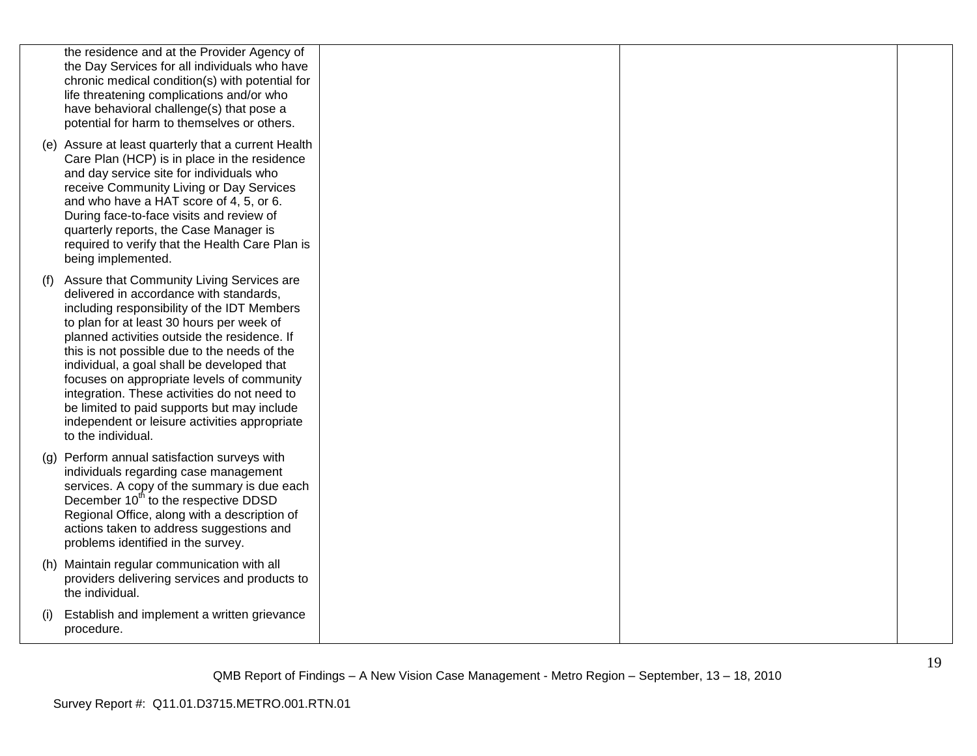|     | the residence and at the Provider Agency of<br>the Day Services for all individuals who have<br>chronic medical condition(s) with potential for<br>life threatening complications and/or who<br>have behavioral challenge(s) that pose a<br>potential for harm to themselves or others.                                                                                                                                                                                                                                                            |  |  |
|-----|----------------------------------------------------------------------------------------------------------------------------------------------------------------------------------------------------------------------------------------------------------------------------------------------------------------------------------------------------------------------------------------------------------------------------------------------------------------------------------------------------------------------------------------------------|--|--|
|     | (e) Assure at least quarterly that a current Health<br>Care Plan (HCP) is in place in the residence<br>and day service site for individuals who<br>receive Community Living or Day Services<br>and who have a HAT score of 4, 5, or 6.<br>During face-to-face visits and review of<br>quarterly reports, the Case Manager is<br>required to verify that the Health Care Plan is<br>being implemented.                                                                                                                                              |  |  |
| (f) | Assure that Community Living Services are<br>delivered in accordance with standards,<br>including responsibility of the IDT Members<br>to plan for at least 30 hours per week of<br>planned activities outside the residence. If<br>this is not possible due to the needs of the<br>individual, a goal shall be developed that<br>focuses on appropriate levels of community<br>integration. These activities do not need to<br>be limited to paid supports but may include<br>independent or leisure activities appropriate<br>to the individual. |  |  |
|     | (g) Perform annual satisfaction surveys with<br>individuals regarding case management<br>services. A copy of the summary is due each<br>December 10 <sup>th</sup> to the respective DDSD<br>Regional Office, along with a description of<br>actions taken to address suggestions and<br>problems identified in the survey.                                                                                                                                                                                                                         |  |  |
|     | (h) Maintain regular communication with all<br>providers delivering services and products to<br>the individual.                                                                                                                                                                                                                                                                                                                                                                                                                                    |  |  |
| (i) | Establish and implement a written grievance<br>procedure.                                                                                                                                                                                                                                                                                                                                                                                                                                                                                          |  |  |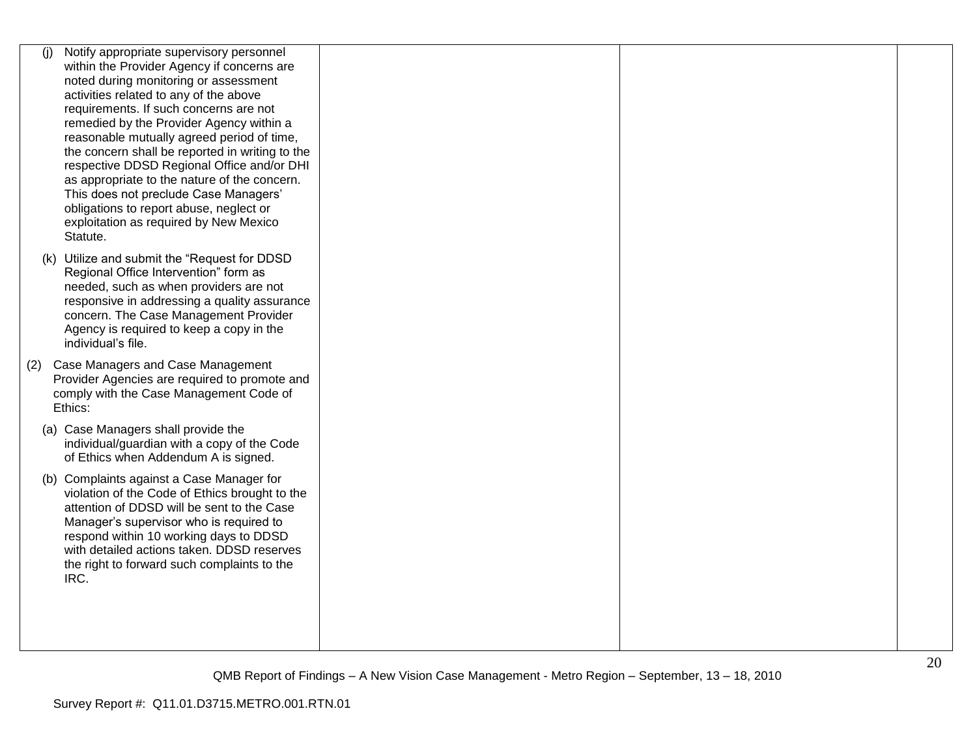| (i) | Notify appropriate supervisory personnel        |  |  |
|-----|-------------------------------------------------|--|--|
|     | within the Provider Agency if concerns are      |  |  |
|     | noted during monitoring or assessment           |  |  |
|     | activities related to any of the above          |  |  |
|     | requirements. If such concerns are not          |  |  |
|     | remedied by the Provider Agency within a        |  |  |
|     | reasonable mutually agreed period of time,      |  |  |
|     | the concern shall be reported in writing to the |  |  |
|     | respective DDSD Regional Office and/or DHI      |  |  |
|     | as appropriate to the nature of the concern.    |  |  |
|     | This does not preclude Case Managers'           |  |  |
|     | obligations to report abuse, neglect or         |  |  |
|     | exploitation as required by New Mexico          |  |  |
|     | Statute.                                        |  |  |
|     | (k) Utilize and submit the "Request for DDSD    |  |  |
|     | Regional Office Intervention" form as           |  |  |
|     | needed, such as when providers are not          |  |  |
|     | responsive in addressing a quality assurance    |  |  |
|     | concern. The Case Management Provider           |  |  |
|     | Agency is required to keep a copy in the        |  |  |
|     | individual's file.                              |  |  |
| (2) | Case Managers and Case Management               |  |  |
|     | Provider Agencies are required to promote and   |  |  |
|     | comply with the Case Management Code of         |  |  |
|     | Ethics:                                         |  |  |
|     |                                                 |  |  |
|     | (a) Case Managers shall provide the             |  |  |
|     | individual/guardian with a copy of the Code     |  |  |
|     | of Ethics when Addendum A is signed.            |  |  |
|     | (b) Complaints against a Case Manager for       |  |  |
|     | violation of the Code of Ethics brought to the  |  |  |
|     | attention of DDSD will be sent to the Case      |  |  |
|     | Manager's supervisor who is required to         |  |  |
|     | respond within 10 working days to DDSD          |  |  |
|     | with detailed actions taken. DDSD reserves      |  |  |
|     | the right to forward such complaints to the     |  |  |
|     | IRC.                                            |  |  |
|     |                                                 |  |  |
|     |                                                 |  |  |
|     |                                                 |  |  |
|     |                                                 |  |  |